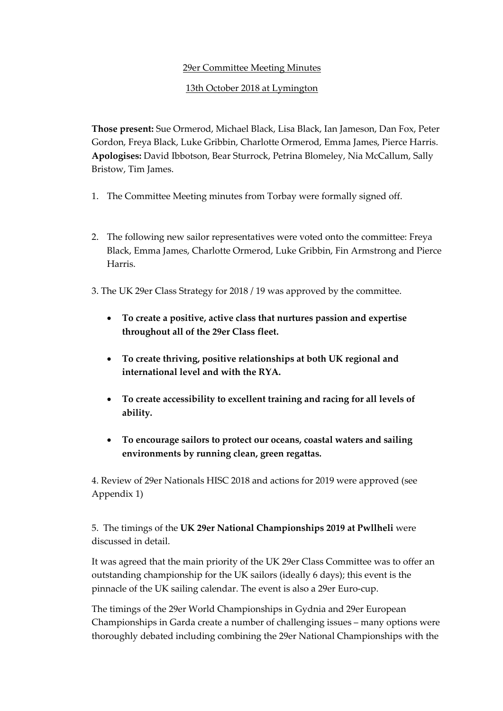### 29er Committee Meeting Minutes

### 13th October 2018 at Lymington

**Those present:** Sue Ormerod, Michael Black, Lisa Black, Ian Jameson, Dan Fox, Peter Gordon, Freya Black, Luke Gribbin, Charlotte Ormerod, Emma James, Pierce Harris. **Apologises:** David Ibbotson, Bear Sturrock, Petrina Blomeley, Nia McCallum, Sally Bristow, Tim James.

- 1. The Committee Meeting minutes from Torbay were formally signed off.
- 2. The following new sailor representatives were voted onto the committee: Freya Black, Emma James, Charlotte Ormerod, Luke Gribbin, Fin Armstrong and Pierce Harris.
- 3. The UK 29er Class Strategy for 2018 / 19 was approved by the committee.
	- **To create a positive, active class that nurtures passion and expertise throughout all of the 29er Class fleet.**
	- **To create thriving, positive relationships at both UK regional and international level and with the RYA.**
	- **To create accessibility to excellent training and racing for all levels of ability.**
	- **To encourage sailors to protect our oceans, coastal waters and sailing environments by running clean, green regattas.**

4. Review of 29er Nationals HISC 2018 and actions for 2019 were approved (see Appendix 1)

5. The timings of the **UK 29er National Championships 2019 at Pwllheli** were discussed in detail.

It was agreed that the main priority of the UK 29er Class Committee was to offer an outstanding championship for the UK sailors (ideally 6 days); this event is the pinnacle of the UK sailing calendar. The event is also a 29er Euro-cup.

The timings of the 29er World Championships in Gydnia and 29er European Championships in Garda create a number of challenging issues – many options were thoroughly debated including combining the 29er National Championships with the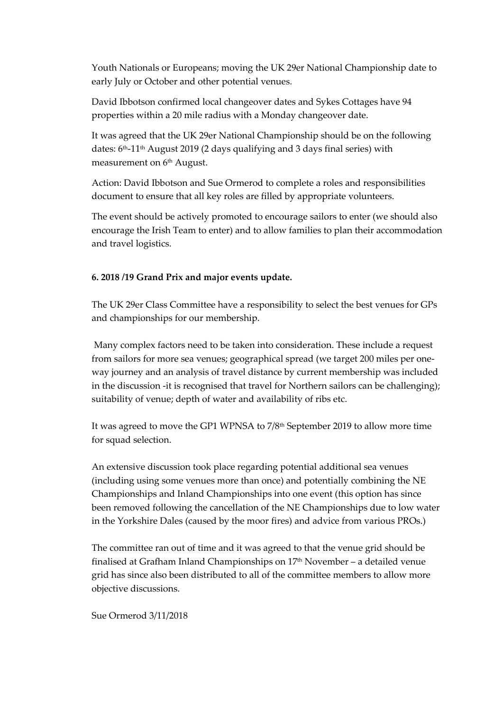Youth Nationals or Europeans; moving the UK 29er National Championship date to early July or October and other potential venues.

David Ibbotson confirmed local changeover dates and Sykes Cottages have 94 properties within a 20 mile radius with a Monday changeover date.

It was agreed that the UK 29er National Championship should be on the following dates:  $6<sup>th</sup>$ -11<sup>th</sup> August 2019 (2 days qualifying and 3 days final series) with measurement on 6<sup>th</sup> August.

Action: David Ibbotson and Sue Ormerod to complete a roles and responsibilities document to ensure that all key roles are filled by appropriate volunteers.

The event should be actively promoted to encourage sailors to enter (we should also encourage the Irish Team to enter) and to allow families to plan their accommodation and travel logistics.

### **6. 2018 /19 Grand Prix and major events update.**

The UK 29er Class Committee have a responsibility to select the best venues for GPs and championships for our membership.

Many complex factors need to be taken into consideration. These include a request from sailors for more sea venues; geographical spread (we target 200 miles per oneway journey and an analysis of travel distance by current membership was included in the discussion -it is recognised that travel for Northern sailors can be challenging); suitability of venue; depth of water and availability of ribs etc.

It was agreed to move the GP1 WPNSA to 7/8th September 2019 to allow more time for squad selection.

An extensive discussion took place regarding potential additional sea venues (including using some venues more than once) and potentially combining the NE Championships and Inland Championships into one event (this option has since been removed following the cancellation of the NE Championships due to low water in the Yorkshire Dales (caused by the moor fires) and advice from various PROs.)

The committee ran out of time and it was agreed to that the venue grid should be finalised at Grafham Inland Championships on  $17<sup>th</sup>$  November – a detailed venue grid has since also been distributed to all of the committee members to allow more objective discussions.

Sue Ormerod 3/11/2018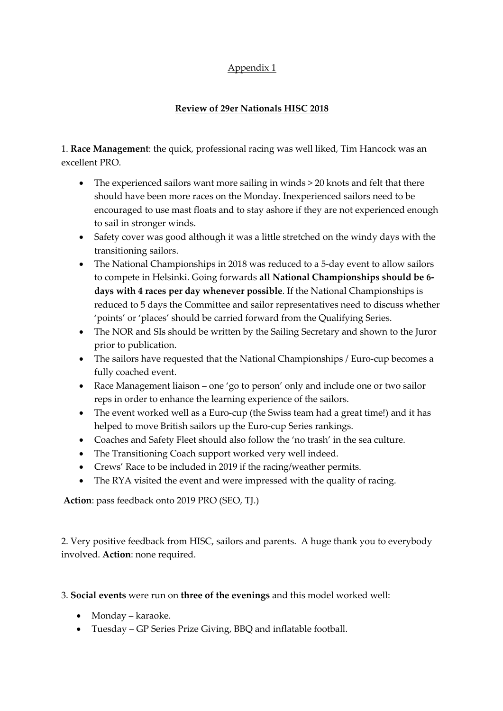# Appendix 1

## **Review of 29er Nationals HISC 2018**

1. **Race Management**: the quick, professional racing was well liked, Tim Hancock was an excellent PRO.

- The experienced sailors want more sailing in winds > 20 knots and felt that there should have been more races on the Monday. Inexperienced sailors need to be encouraged to use mast floats and to stay ashore if they are not experienced enough to sail in stronger winds.
- Safety cover was good although it was a little stretched on the windy days with the transitioning sailors.
- The National Championships in 2018 was reduced to a 5-day event to allow sailors to compete in Helsinki. Going forwards **all National Championships should be 6 days with 4 races per day whenever possible**. If the National Championships is reduced to 5 days the Committee and sailor representatives need to discuss whether 'points' or 'places' should be carried forward from the Qualifying Series.
- The NOR and SIs should be written by the Sailing Secretary and shown to the Juror prior to publication.
- The sailors have requested that the National Championships / Euro-cup becomes a fully coached event.
- Race Management liaison one 'go to person' only and include one or two sailor reps in order to enhance the learning experience of the sailors.
- The event worked well as a Euro-cup (the Swiss team had a great time!) and it has helped to move British sailors up the Euro-cup Series rankings.
- Coaches and Safety Fleet should also follow the 'no trash' in the sea culture.
- The Transitioning Coach support worked very well indeed.
- Crews' Race to be included in 2019 if the racing/weather permits.
- The RYA visited the event and were impressed with the quality of racing.

**Action**: pass feedback onto 2019 PRO (SEO, TJ.)

2. Very positive feedback from HISC, sailors and parents. A huge thank you to everybody involved. **Action**: none required.

3. **Social events** were run on **three of the evenings** and this model worked well:

- Monday karaoke.
- Tuesday GP Series Prize Giving, BBQ and inflatable football.